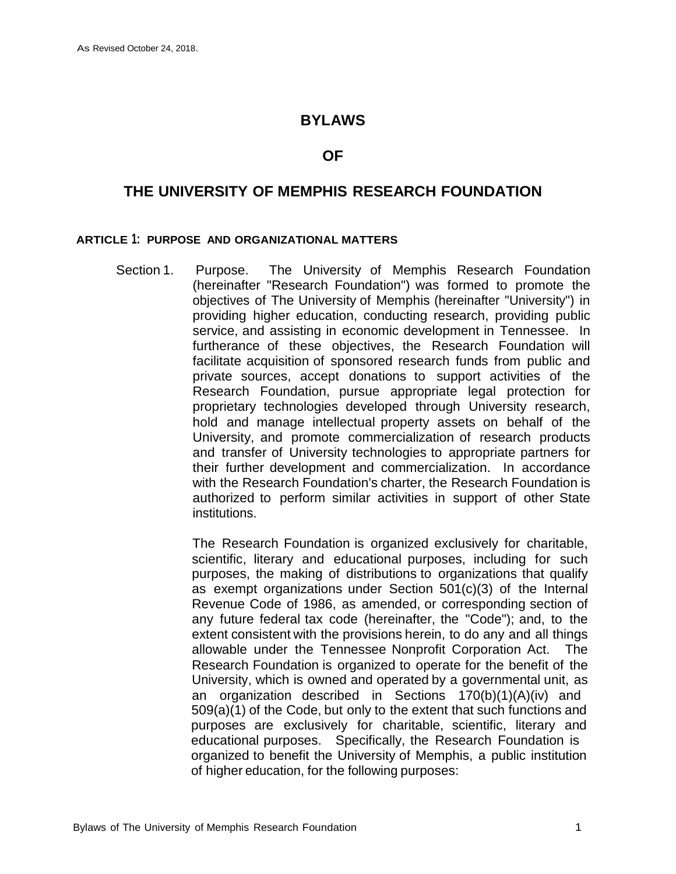### **BYLAWS**

#### **OF**

# **THE UNIVERSITY OF MEMPHIS RESEARCH FOUNDATION**

#### **ARTICLE 1: PURPOSE AND ORGANIZATIONAL MATTERS**

Section 1. Purpose. The University of Memphis Research Foundation (hereinafter "Research Foundation") was formed to promote the objectives of The University of Memphis (hereinafter "University") in providing higher education, conducting research, providing public service, and assisting in economic development in Tennessee. In furtherance of these objectives, the Research Foundation will facilitate acquisition of sponsored research funds from public and private sources, accept donations to support activities of the Research Foundation, pursue appropriate legal protection for proprietary technologies developed through University research, hold and manage intellectual property assets on behalf of the University, and promote commercialization of research products and transfer of University technologies to appropriate partners for their further development and commercialization. In accordance with the Research Foundation's charter, the Research Foundation is authorized to perform similar activities in support of other State institutions.

> The Research Foundation is organized exclusively for charitable, scientific, literary and educational purposes, including for such purposes, the making of distributions to organizations that qualify as exempt organizations under Section 501(c)(3) of the Internal Revenue Code of 1986, as amended, or corresponding section of any future federal tax code (hereinafter, the "Code"); and, to the extent consistent with the provisions herein, to do any and all things allowable under the Tennessee Nonprofit Corporation Act. The Research Foundation is organized to operate for the benefit of the University, which is owned and operated by a governmental unit, as an organization described in Sections 170(b)(1)(A)(iv) and 509(a)(1) of the Code, but only to the extent that such functions and purposes are exclusively for charitable, scientific, literary and educational purposes. Specifically, the Research Foundation is organized to benefit the University of Memphis, a public institution of higher education, for the following purposes: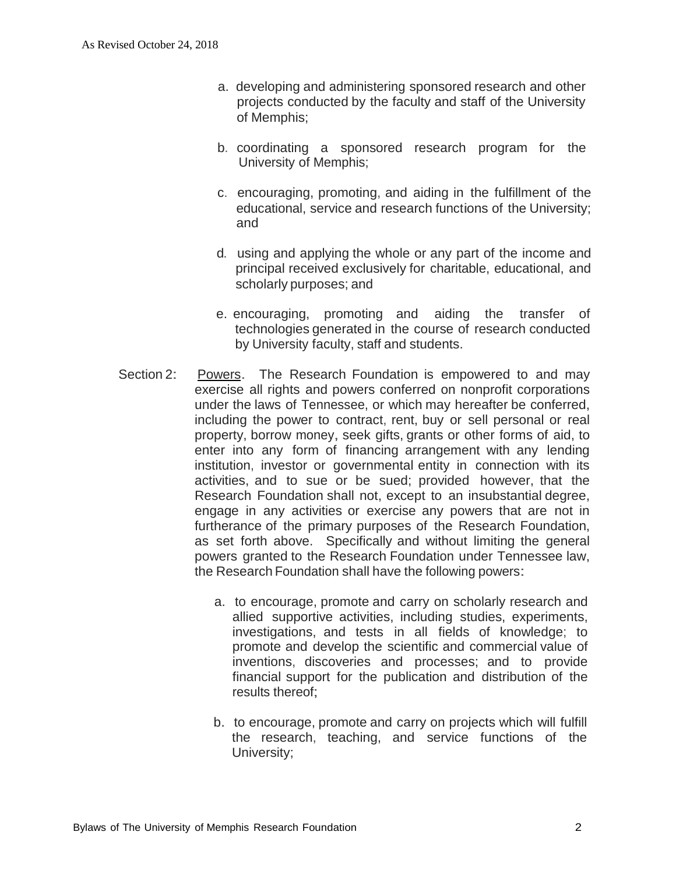- a. developing and administering sponsored research and other projects conducted by the faculty and staff of the University of Memphis;
- b. coordinating a sponsored research program for the University of Memphis;
- c. encouraging, promoting, and aiding in the fulfillment of the educational, service and research functions of the University; and
- d. using and applying the whole or any part of the income and principal received exclusively for charitable, educational, and scholarly purposes; and
- e. encouraging, promoting and aiding the transfer of technologies generated in the course of research conducted by University faculty, staff and students.
- Section 2: Powers. The Research Foundation is empowered to and may exercise all rights and powers conferred on nonprofit corporations under the laws of Tennessee, or which may hereafter be conferred, including the power to contract, rent, buy or sell personal or real property, borrow money, seek gifts, grants or other forms of aid, to enter into any form of financing arrangement with any lending institution, investor or governmental entity in connection with its activities, and to sue or be sued; provided however, that the Research Foundation shall not, except to an insubstantial degree, engage in any activities or exercise any powers that are not in furtherance of the primary purposes of the Research Foundation, as set forth above. Specifically and without limiting the general powers granted to the Research Foundation under Tennessee law, the Research Foundation shall have the following powers:
	- a. to encourage, promote and carry on scholarly research and allied supportive activities, including studies, experiments, investigations, and tests in all fields of knowledge; to promote and develop the scientific and commercial value of inventions, discoveries and processes; and to provide financial support for the publication and distribution of the results thereof;
	- b. to encourage, promote and carry on projects which will fulfill the research, teaching, and service functions of the University;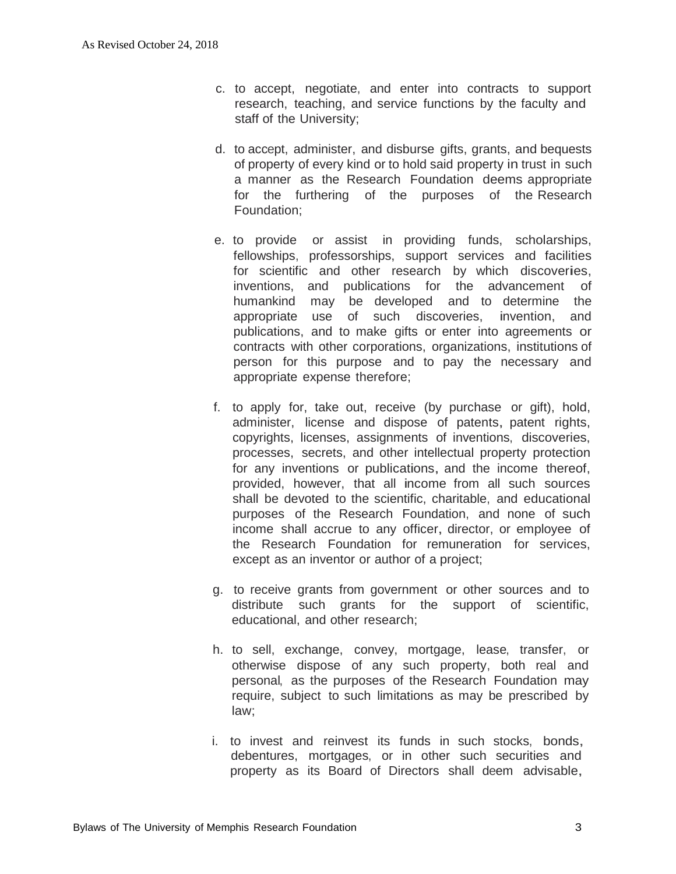- c. to accept, negotiate, and enter into contracts to support research, teaching, and service functions by the faculty and staff of the University;
- d. to accept, administer, and disburse gifts, grants, and bequests of property of every kind or to hold said property in trust in such a manner as the Research Foundation deems appropriate for the furthering of the purposes of the Research Foundation;
- e. to provide or assist in providing funds, scholarships, fellowships, professorships, support services and facilities for scientific and other research by which discoveries, inventions, and publications for the advancement of humankind may be developed and to determine the appropriate use of such discoveries, invention, and publications, and to make gifts or enter into agreements or contracts with other corporations, organizations, institutions of person for this purpose and to pay the necessary and appropriate expense therefore;
- f. to apply for, take out, receive (by purchase or gift), hold, administer, license and dispose of patents, patent rights, copyrights, licenses, assignments of inventions, discoveries, processes, secrets, and other intellectual property protection for any inventions or publications, and the income thereof, provided, however, that all income from all such sources shall be devoted to the scientific, charitable, and educational purposes of the Research Foundation, and none of such income shall accrue to any officer, director, or employee of the Research Foundation for remuneration for services, except as an inventor or author of a project;
- g. to receive grants from government or other sources and to distribute such grants for the support of scientific, educational, and other research;
- h. to sell, exchange, convey, mortgage, lease, transfer, or otherwise dispose of any such property, both real and personal, as the purposes of the Research Foundation may require, subject to such limitations as may be prescribed by law;
- i. to invest and reinvest its funds in such stocks, bonds, debentures, mortgages, or in other such securities and property as its Board of Directors shall deem advisable,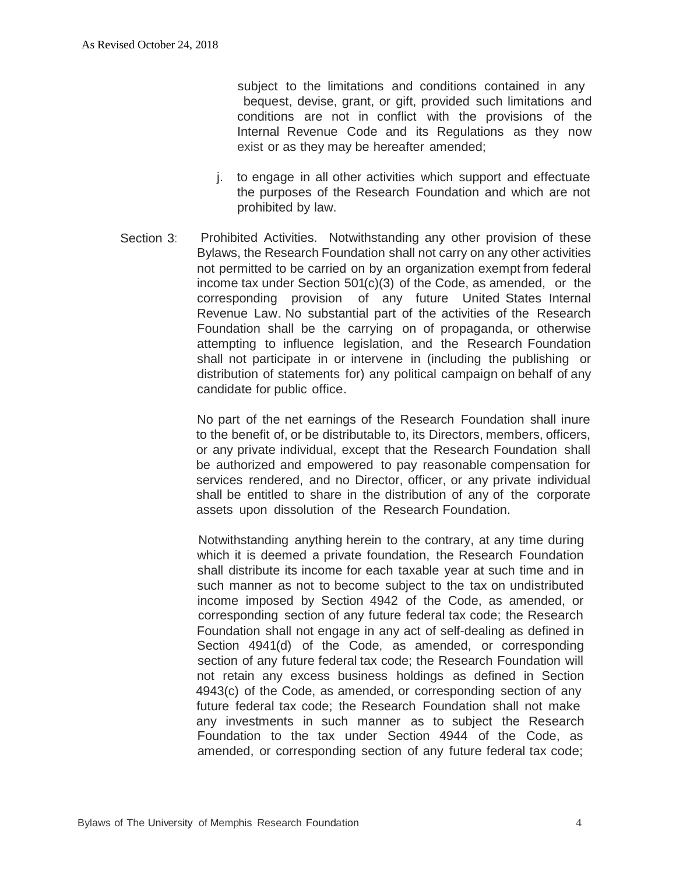subject to the limitations and conditions contained in any bequest, devise, grant, or gift, provided such limitations and conditions are not in conflict with the provisions of the Internal Revenue Code and its Regulations as they now exist or as they may be hereafter amended;

- j. to engage in all other activities which support and effectuate the purposes of the Research Foundation and which are not prohibited by law.
- Section 3: Prohibited Activities. Notwithstanding any other provision of these Bylaws, the Research Foundation shall not carry on any other activities not permitted to be carried on by an organization exempt from federal income tax under Section 501(c)(3) of the Code, as amended, or the corresponding provision of any future United States Internal Revenue Law. No substantial part of the activities of the Research Foundation shall be the carrying on of propaganda, or otherwise attempting to influence legislation, and the Research Foundation shall not participate in or intervene in (including the publishing or distribution of statements for) any political campaign on behalf of any candidate for public office.

No part of the net earnings of the Research Foundation shall inure to the benefit of, or be distributable to, its Directors, members, officers, or any private individual, except that the Research Foundation shall be authorized and empowered to pay reasonable compensation for services rendered, and no Director, officer, or any private individual shall be entitled to share in the distribution of any of the corporate assets upon dissolution of the Research Foundation.

Notwithstanding anything herein to the contrary, at any time during which it is deemed a private foundation, the Research Foundation shall distribute its income for each taxable year at such time and in such manner as not to become subject to the tax on undistributed income imposed by Section 4942 of the Code, as amended, or corresponding section of any future federal tax code; the Research Foundation shall not engage in any act of self-dealing as defined in Section 4941(d) of the Code, as amended, or corresponding section of any future federal tax code; the Research Foundation will not retain any excess business holdings as defined in Section 4943(c) of the Code, as amended, or corresponding section of any future federal tax code; the Research Foundation shall not make any investments in such manner as to subject the Research Foundation to the tax under Section 4944 of the Code, as amended, or corresponding section of any future federal tax code;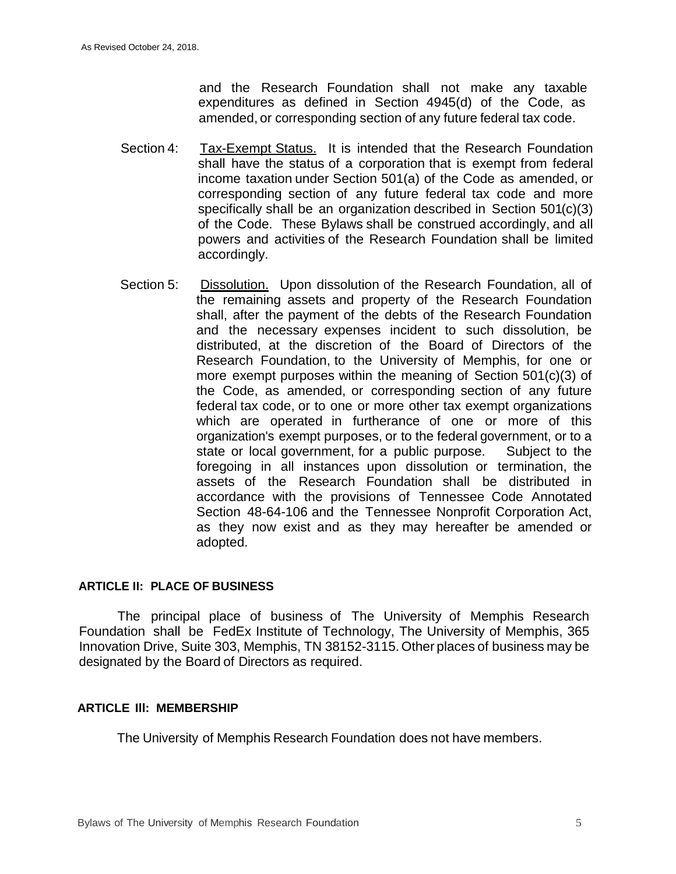and the Research Foundation shall not make any taxable expenditures as defined in Section 4945(d) of the Code, as amended, or corresponding section of any future federal tax code.

- Section 4: Tax-Exempt Status. It is intended that the Research Foundation shall have the status of a corporation that is exempt from federal income taxation under Section 501(a) of the Code as amended, or corresponding section of any future federal tax code and more specifically shall be an organization described in Section 501(c)(3) of the Code. These Bylaws shall be construed accordingly, and all powers and activities of the Research Foundation shall be limited accordingly.
- Section 5: Dissolution. Upon dissolution of the Research Foundation, all of the remaining assets and property of the Research Foundation shall, after the payment of the debts of the Research Foundation and the necessary expenses incident to such dissolution, be distributed, at the discretion of the Board of Directors of the Research Foundation, to the University of Memphis, for one or more exempt purposes within the meaning of Section 501(c)(3) of the Code, as amended, or corresponding section of any future federal tax code, or to one or more other tax exempt organizations which are operated in furtherance of one or more of this organization's exempt purposes, or to the federal government, or to a state or local government, for a public purpose. Subject to the foregoing in all instances upon dissolution or termination, the assets of the Research Foundation shall be distributed in accordance with the provisions of Tennessee Code Annotated Section 48-64-106 and the Tennessee Nonprofit Corporation Act, as they now exist and as they may hereafter be amended or adopted.

#### **ARTICLE II: PLACE OF BUSINESS**

The principal place of business of The University of Memphis Research Foundation shall be FedEx Institute of Technology, The University of Memphis, 365 Innovation Drive, Suite 303, Memphis, TN 38152-3115. Other places of business may be designated by the Board of Directors as required.

#### **ARTICLE Ill: MEMBERSHIP**

The University of Memphis Research Foundation does not have members.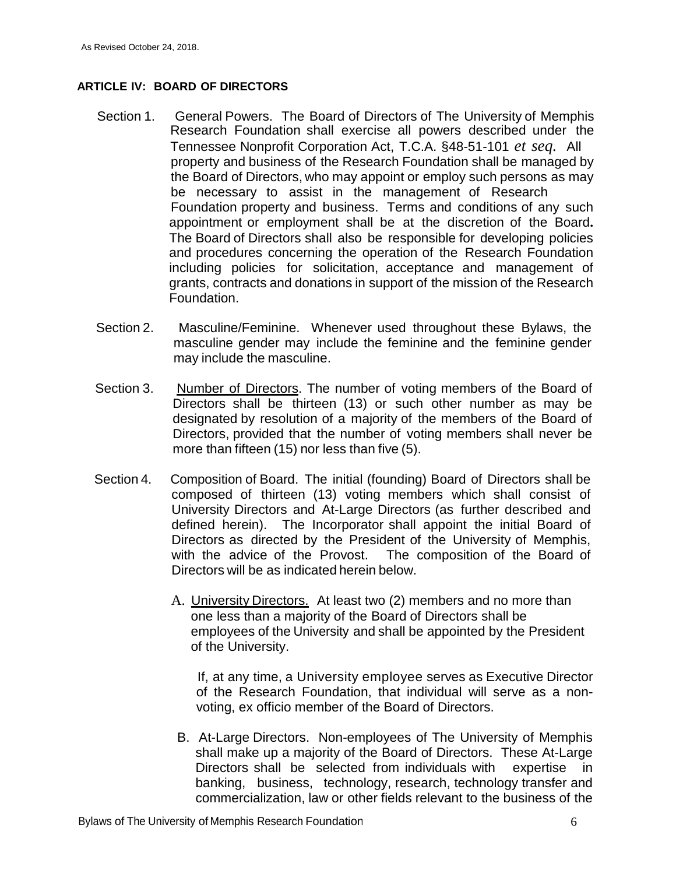#### **ARTICLE IV: BOARD OF DIRECTORS**

- Section 1. General Powers. The Board of Directors of The University of Memphis Research Foundation shall exercise all powers described under the Tennessee Nonprofit Corporation Act, T.C.A. §48-51-101 *et seq.* All property and business of the Research Foundation shall be managed by the Board of Directors, who may appoint or employ such persons as may be necessary to assist in the management of Research Foundation property and business. Terms and conditions of any such appointment or employment shall be at the discretion of the Board**.**  The Board of Directors shall also be responsible for developing policies and procedures concerning the operation of the Research Foundation including policies for solicitation, acceptance and management of grants, contracts and donations in support of the mission of the Research Foundation.
- Section 2. Masculine/Feminine. Whenever used throughout these Bylaws, the masculine gender may include the feminine and the feminine gender may include the masculine.
- Section 3. Number of Directors. The number of voting members of the Board of Directors shall be thirteen (13) or such other number as may be designated by resolution of a majority of the members of the Board of Directors, provided that the number of voting members shall never be more than fifteen (15) nor less than five (5).
- Section 4. Composition of Board. The initial (founding) Board of Directors shall be composed of thirteen (13) voting members which shall consist of University Directors and At-Large Directors (as further described and defined herein). The Incorporator shall appoint the initial Board of Directors as directed by the President of the University of Memphis, with the advice of the Provost. The composition of the Board of Directors will be as indicated herein below.
	- A. University Directors. At least two (2) members and no more than one less than a majority of the Board of Directors shall be employees of the University and shall be appointed by the President of the University.

If, at any time, a University employee serves as Executive Director of the Research Foundation, that individual will serve as a nonvoting, ex officio member of the Board of Directors.

B. At-Large Directors. Non-employees of The University of Memphis shall make up a majority of the Board of Directors. These At-Large Directors shall be selected from individuals with expertise in banking, business, technology, research, technology transfer and commercialization, law or other fields relevant to the business of the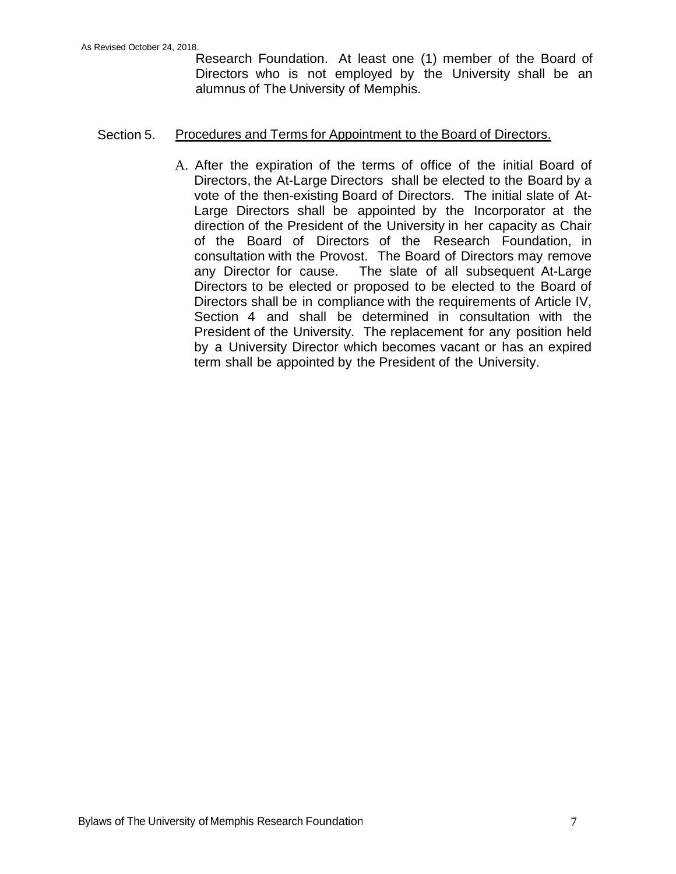Research Foundation. At least one (1) member of the Board of Directors who is not employed by the University shall be an alumnus of The University of Memphis.

### Section 5. Procedures and Terms for Appointment to the Board of Directors.

A. After the expiration of the terms of office of the initial Board of Directors, the At-Large Directors shall be elected to the Board by a vote of the then-existing Board of Directors. The initial slate of At-Large Directors shall be appointed by the Incorporator at the direction of the President of the University in her capacity as Chair of the Board of Directors of the Research Foundation, in consultation with the Provost. The Board of Directors may remove any Director for cause. The slate of all subsequent At-Large Directors to be elected or proposed to be elected to the Board of Directors shall be in compliance with the requirements of Article IV, Section 4 and shall be determined in consultation with the President of the University. The replacement for any position held by a University Director which becomes vacant or has an expired term shall be appointed by the President of the University.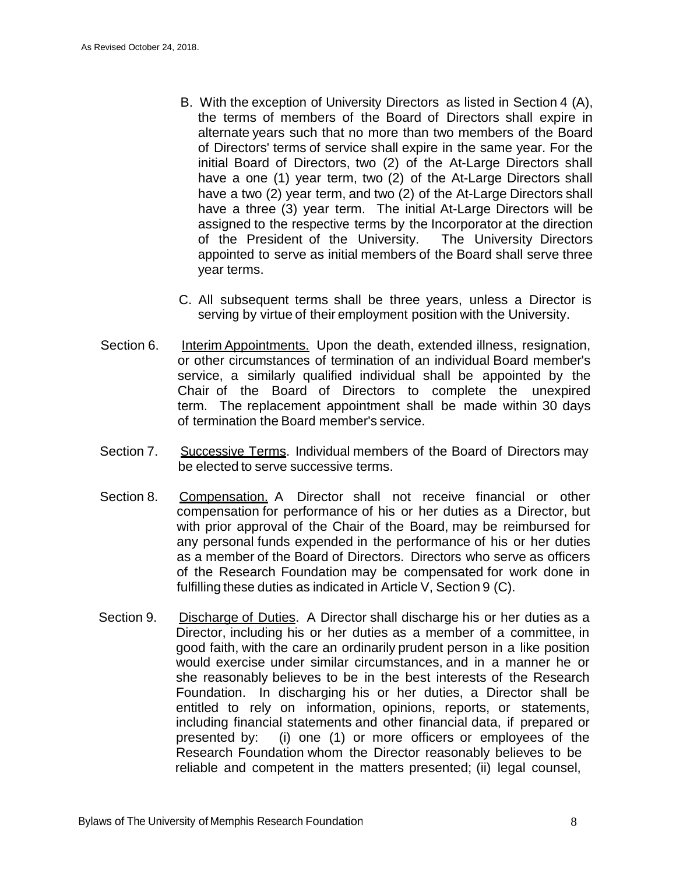- B. With the exception of University Directors as listed in Section 4 (A), the terms of members of the Board of Directors shall expire in alternate years such that no more than two members of the Board of Directors' terms of service shall expire in the same year. For the initial Board of Directors, two (2) of the At-Large Directors shall have a one (1) year term, two (2) of the At-Large Directors shall have a two (2) year term, and two (2) of the At-Large Directors shall have a three (3) year term. The initial At-Large Directors will be assigned to the respective terms by the Incorporator at the direction of the President of the University. The University Directors appointed to serve as initial members of the Board shall serve three year terms.
- C. All subsequent terms shall be three years, unless a Director is serving by virtue of their employment position with the University.
- Section 6. Interim Appointments. Upon the death, extended illness, resignation, or other circumstances of termination of an individual Board member's service, a similarly qualified individual shall be appointed by the Chair of the Board of Directors to complete the unexpired term. The replacement appointment shall be made within 30 days of termination the Board member's service.
- Section 7. Successive Terms. Individual members of the Board of Directors may be elected to serve successive terms.
- Section 8. Compensation. A Director shall not receive financial or other compensation for performance of his or her duties as a Director, but with prior approval of the Chair of the Board, may be reimbursed for any personal funds expended in the performance of his or her duties as a member of the Board of Directors. Directors who serve as officers of the Research Foundation may be compensated for work done in fulfilling these duties as indicated in Article V, Section 9 (C).
- Section 9. Discharge of Duties. A Director shall discharge his or her duties as a Director, including his or her duties as a member of a committee, in good faith, with the care an ordinarily prudent person in a like position would exercise under similar circumstances, and in a manner he or she reasonably believes to be in the best interests of the Research Foundation. In discharging his or her duties, a Director shall be entitled to rely on information, opinions, reports, or statements, including financial statements and other financial data, if prepared or presented by: (i) one (1) or more officers or employees of the Research Foundation whom the Director reasonably believes to be reliable and competent in the matters presented; (ii) legal counsel,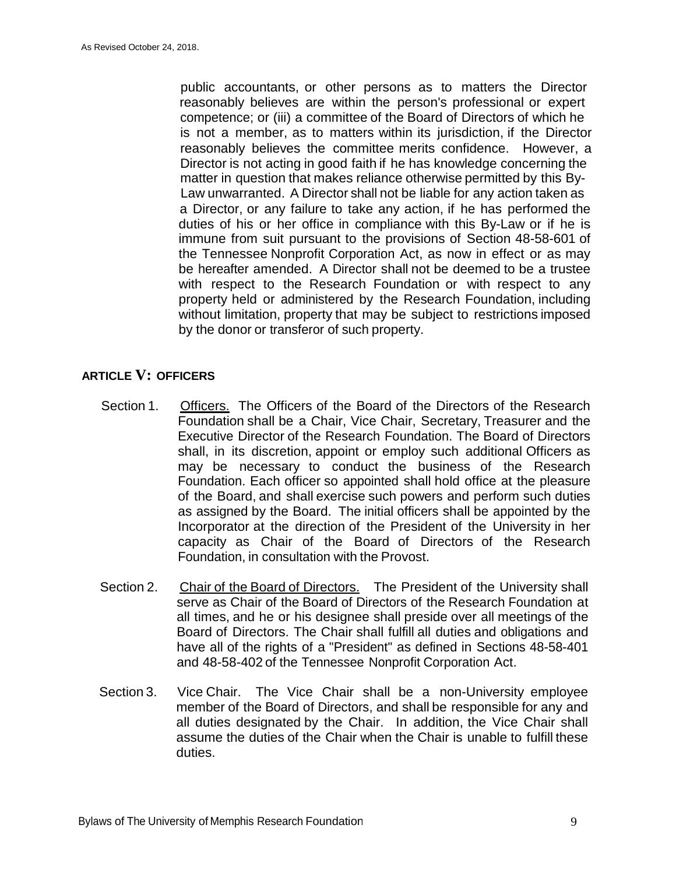public accountants, or other persons as to matters the Director reasonably believes are within the person's professional or expert competence; or (iii) a committee of the Board of Directors of which he is not a member, as to matters within its jurisdiction, if the Director reasonably believes the committee merits confidence. However, a Director is not acting in good faith if he has knowledge concerning the matter in question that makes reliance otherwise permitted by this By-Law unwarranted. A Director shall not be liable for any action taken as a Director, or any failure to take any action, if he has performed the duties of his or her office in compliance with this By-Law or if he is immune from suit pursuant to the provisions of Section 48-58-601 of the Tennessee Nonprofit Corporation Act, as now in effect or as may be hereafter amended. A Director shall not be deemed to be a trustee with respect to the Research Foundation or with respect to any property held or administered by the Research Foundation, including without limitation, property that may be subject to restrictions imposed by the donor or transferor of such property.

### **ARTICLE V: OFFICERS**

- Section 1. Officers. The Officers of the Board of the Directors of the Research Foundation shall be a Chair, Vice Chair, Secretary, Treasurer and the Executive Director of the Research Foundation. The Board of Directors shall, in its discretion, appoint or employ such additional Officers as may be necessary to conduct the business of the Research Foundation. Each officer so appointed shall hold office at the pleasure of the Board, and shall exercise such powers and perform such duties as assigned by the Board. The initial officers shall be appointed by the Incorporator at the direction of the President of the University in her capacity as Chair of the Board of Directors of the Research Foundation, in consultation with the Provost.
- Section 2. Chair of the Board of Directors. The President of the University shall serve as Chair of the Board of Directors of the Research Foundation at all times, and he or his designee shall preside over all meetings of the Board of Directors. The Chair shall fulfill all duties and obligations and have all of the rights of a "President" as defined in Sections 48-58-401 and 48-58-402 of the Tennessee Nonprofit Corporation Act.
- Section 3. Vice Chair. The Vice Chair shall be a non-University employee member of the Board of Directors, and shall be responsible for any and all duties designated by the Chair. In addition, the Vice Chair shall assume the duties of the Chair when the Chair is unable to fulfill these duties.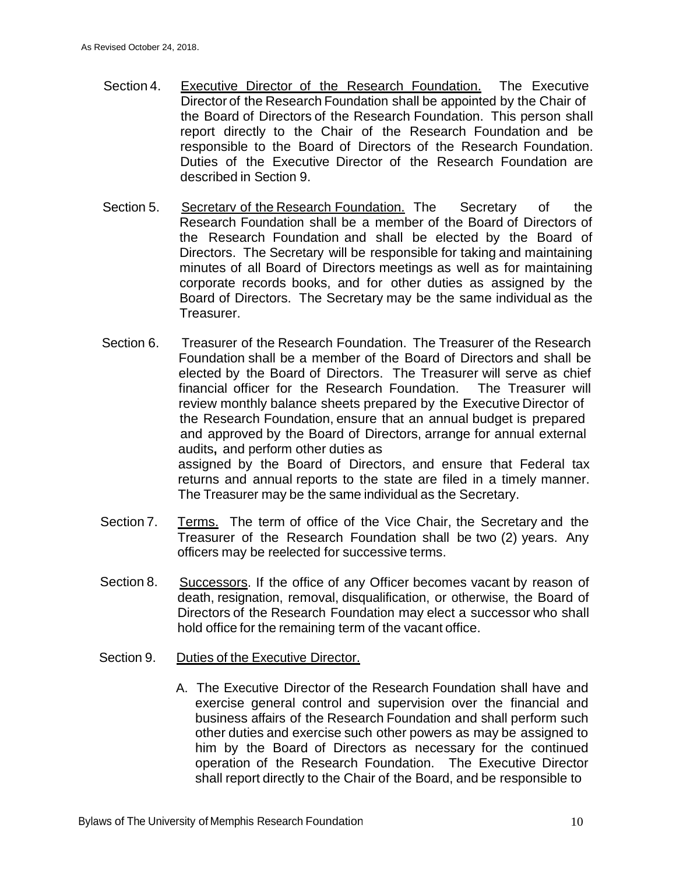- Section 4. Executive Director of the Research Foundation. The Executive Director of the Research Foundation shall be appointed by the Chair of the Board of Directors of the Research Foundation. This person shall report directly to the Chair of the Research Foundation and be responsible to the Board of Directors of the Research Foundation. Duties of the Executive Director of the Research Foundation are described in Section 9.
- Section 5. Secretarv of the Research Foundation. The Secretary of the Research Foundation shall be a member of the Board of Directors of the Research Foundation and shall be elected by the Board of Directors. The Secretary will be responsible for taking and maintaining minutes of all Board of Directors meetings as well as for maintaining corporate records books, and for other duties as assigned by the Board of Directors. The Secretary may be the same individual as the Treasurer.
- Section 6. Treasurer of the Research Foundation. The Treasurer of the Research Foundation shall be a member of the Board of Directors and shall be elected by the Board of Directors. The Treasurer will serve as chief financial officer for the Research Foundation. The Treasurer will review monthly balance sheets prepared by the Executive Director of the Research Foundation, ensure that an annual budget is prepared and approved by the Board of Directors, arrange for annual external audits**,** and perform other duties as assigned by the Board of Directors, and ensure that Federal tax returns and annual reports to the state are filed in a timely manner. The Treasurer may be the same individual as the Secretary.
- Section 7. Terms. The term of office of the Vice Chair, the Secretary and the Treasurer of the Research Foundation shall be two (2) years. Any officers may be reelected for successive terms.
- Section 8. Successors. If the office of any Officer becomes vacant by reason of death, resignation, removal, disqualification, or otherwise, the Board of Directors of the Research Foundation may elect a successor who shall hold office for the remaining term of the vacant office.
- Section 9. Duties of the Executive Director.
	- A. The Executive Director of the Research Foundation shall have and exercise general control and supervision over the financial and business affairs of the Research Foundation and shall perform such other duties and exercise such other powers as may be assigned to him by the Board of Directors as necessary for the continued operation of the Research Foundation. The Executive Director shall report directly to the Chair of the Board, and be responsible to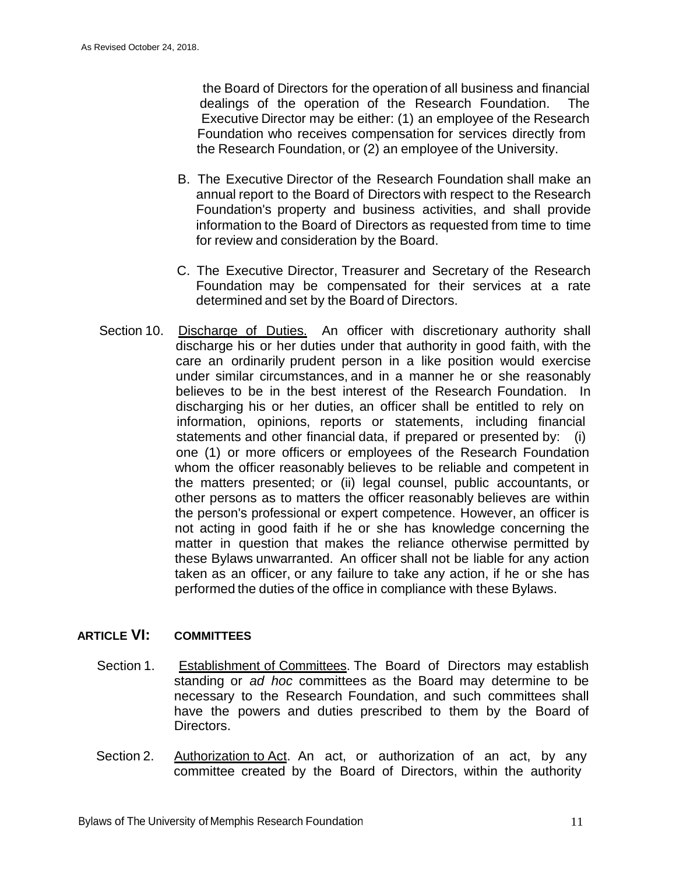the Board of Directors for the operation of all business and financial dealings of the operation of the Research Foundation. The Executive Director may be either: (1) an employee of the Research Foundation who receives compensation for services directly from the Research Foundation, or (2) an employee of the University.

- B. The Executive Director of the Research Foundation shall make an annual report to the Board of Directors with respect to the Research Foundation's property and business activities, and shall provide information to the Board of Directors as requested from time to time for review and consideration by the Board.
- C. The Executive Director, Treasurer and Secretary of the Research Foundation may be compensated for their services at a rate determined and set by the Board of Directors.
- Section 10. Discharge of Duties. An officer with discretionary authority shall discharge his or her duties under that authority in good faith, with the care an ordinarily prudent person in a like position would exercise under similar circumstances, and in a manner he or she reasonably believes to be in the best interest of the Research Foundation. In discharging his or her duties, an officer shall be entitled to rely on information, opinions, reports or statements, including financial statements and other financial data, if prepared or presented by: (i) one (1) or more officers or employees of the Research Foundation whom the officer reasonably believes to be reliable and competent in the matters presented; or (ii) legal counsel, public accountants, or other persons as to matters the officer reasonably believes are within the person's professional or expert competence. However, an officer is not acting in good faith if he or she has knowledge concerning the matter in question that makes the reliance otherwise permitted by these Bylaws unwarranted. An officer shall not be liable for any action taken as an officer, or any failure to take any action, if he or she has performed the duties of the office in compliance with these Bylaws.

# **ARTICLE VI: COMMITTEES**

- Section 1. Establishment of Committees. The Board of Directors may establish standing or *ad hoc* committees as the Board may determine to be necessary to the Research Foundation, and such committees shall have the powers and duties prescribed to them by the Board of Directors.
- Section 2. Authorization to Act. An act, or authorization of an act, by any committee created by the Board of Directors, within the authority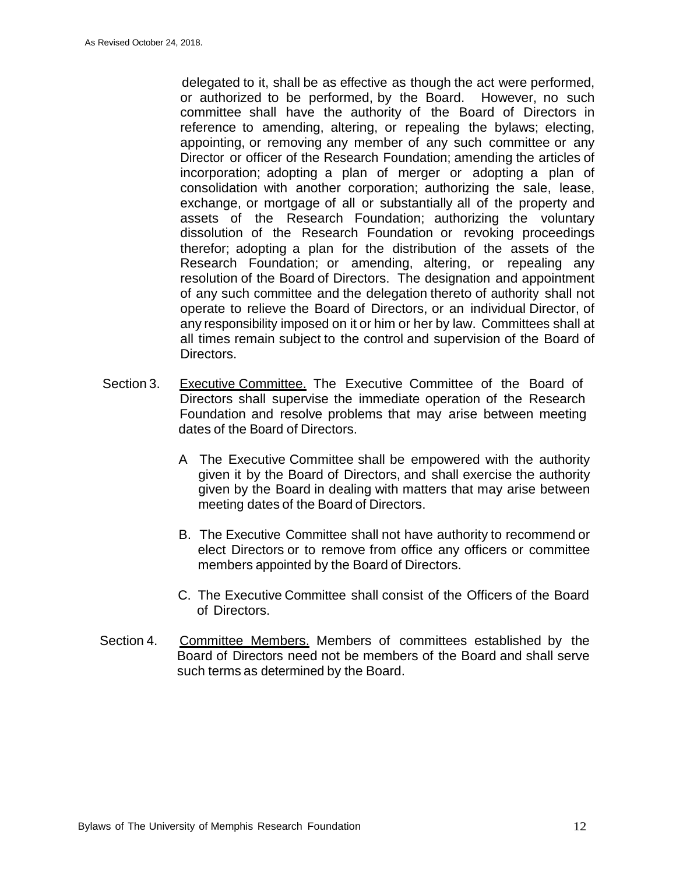delegated to it, shall be as effective as though the act were performed, or authorized to be performed, by the Board. However, no such committee shall have the authority of the Board of Directors in reference to amending, altering, or repealing the bylaws; electing, appointing, or removing any member of any such committee or any Director or officer of the Research Foundation; amending the articles of incorporation; adopting a plan of merger or adopting a plan of consolidation with another corporation; authorizing the sale, lease, exchange, or mortgage of all or substantially all of the property and assets of the Research Foundation; authorizing the voluntary dissolution of the Research Foundation or revoking proceedings therefor; adopting a plan for the distribution of the assets of the Research Foundation; or amending, altering, or repealing any resolution of the Board of Directors. The designation and appointment of any such committee and the delegation thereto of authority shall not operate to relieve the Board of Directors, or an individual Director, of any responsibility imposed on it or him or her by law. Committees shall at all times remain subject to the control and supervision of the Board of Directors.

- Section 3. Executive Committee. The Executive Committee of the Board of Directors shall supervise the immediate operation of the Research Foundation and resolve problems that may arise between meeting dates of the Board of Directors.
	- A The Executive Committee shall be empowered with the authority given it by the Board of Directors, and shall exercise the authority given by the Board in dealing with matters that may arise between meeting dates of the Board of Directors.
	- B. The Executive Committee shall not have authority to recommend or elect Directors or to remove from office any officers or committee members appointed by the Board of Directors.
	- C. The Executive Committee shall consist of the Officers of the Board of Directors.
- Section 4. Committee Members. Members of committees established by the Board of Directors need not be members of the Board and shall serve such terms as determined by the Board.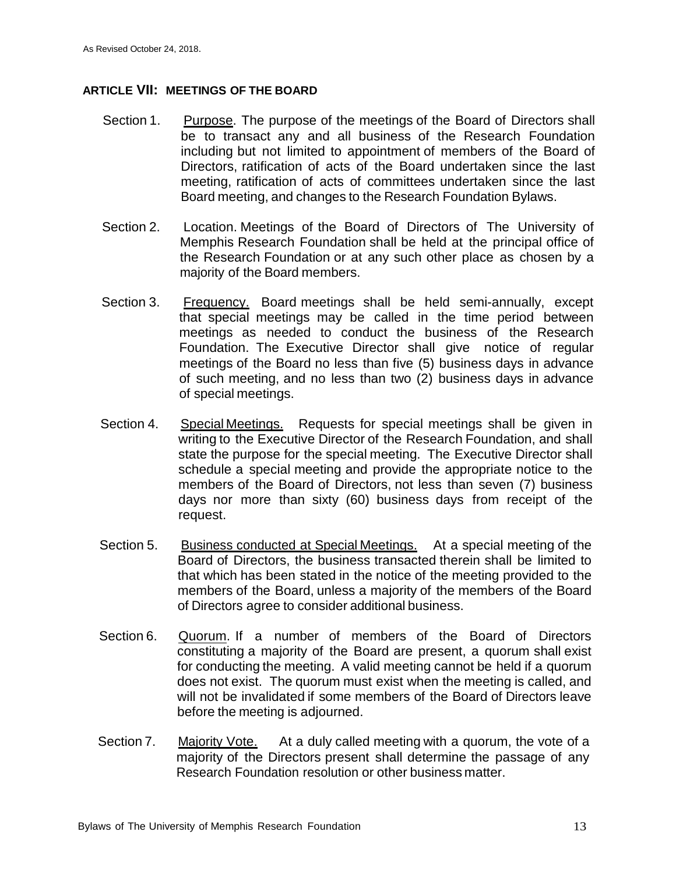### **ARTICLE VII: MEETINGS OF THE BOARD**

- Section 1. Purpose. The purpose of the meetings of the Board of Directors shall be to transact any and all business of the Research Foundation including but not limited to appointment of members of the Board of Directors, ratification of acts of the Board undertaken since the last meeting, ratification of acts of committees undertaken since the last Board meeting, and changes to the Research Foundation Bylaws.
- Section 2. Location. Meetings of the Board of Directors of The University of Memphis Research Foundation shall be held at the principal office of the Research Foundation or at any such other place as chosen by a majority of the Board members.
- Section 3. Frequency. Board meetings shall be held semi-annually, except that special meetings may be called in the time period between meetings as needed to conduct the business of the Research Foundation. The Executive Director shall give notice of regular meetings of the Board no less than five (5) business days in advance of such meeting, and no less than two (2) business days in advance of special meetings.
- Section 4. Special Meetings. Requests for special meetings shall be given in writing to the Executive Director of the Research Foundation, and shall state the purpose for the special meeting. The Executive Director shall schedule a special meeting and provide the appropriate notice to the members of the Board of Directors, not less than seven (7) business days nor more than sixty (60) business days from receipt of the request.
- Section 5. Business conducted at Special Meetings. At a special meeting of the Board of Directors, the business transacted therein shall be limited to that which has been stated in the notice of the meeting provided to the members of the Board, unless a majority of the members of the Board of Directors agree to consider additional business.
- Section 6. Quorum. If a number of members of the Board of Directors constituting a majority of the Board are present, a quorum shall exist for conducting the meeting. A valid meeting cannot be held if a quorum does not exist. The quorum must exist when the meeting is called, and will not be invalidated if some members of the Board of Directors leave before the meeting is adjourned.
- Section 7. Majority Vote. At a duly called meeting with a quorum, the vote of a majority of the Directors present shall determine the passage of any Research Foundation resolution or other business matter.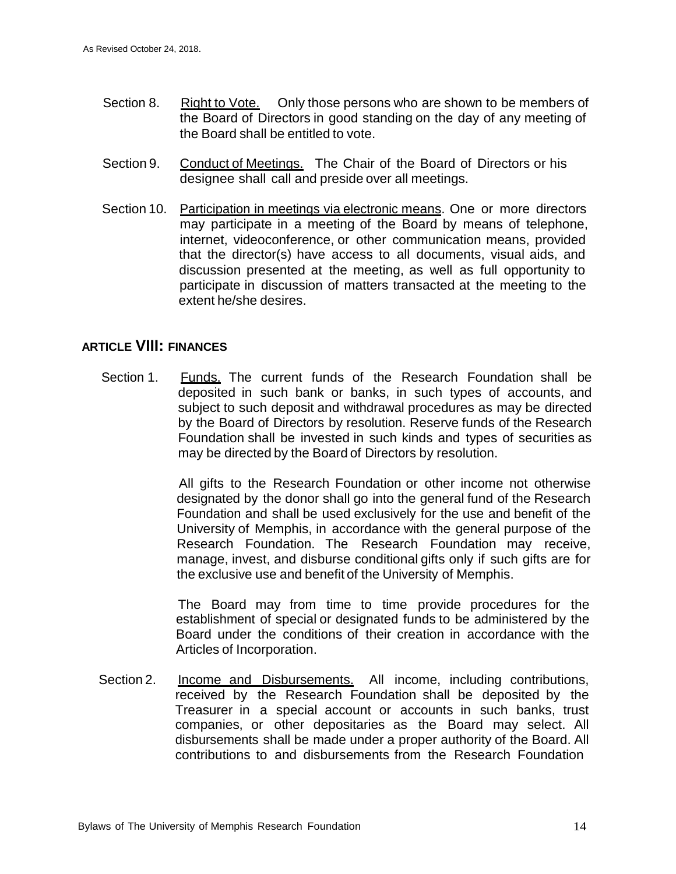- Section 8. Right to Vote. Only those persons who are shown to be members of the Board of Directors in good standing on the day of any meeting of the Board shall be entitled to vote.
- Section 9. Conduct of Meetings. The Chair of the Board of Directors or his designee shall call and preside over all meetings.
- Section 10. Participation in meetings via electronic means. One or more directors may participate in a meeting of the Board by means of telephone, internet, videoconference, or other communication means, provided that the director(s) have access to all documents, visual aids, and discussion presented at the meeting, as well as full opportunity to participate in discussion of matters transacted at the meeting to the extent he/she desires.

## **ARTICLE VIII: FINANCES**

Section 1. Funds. The current funds of the Research Foundation shall be deposited in such bank or banks, in such types of accounts, and subject to such deposit and withdrawal procedures as may be directed by the Board of Directors by resolution. Reserve funds of the Research Foundation shall be invested in such kinds and types of securities as may be directed by the Board of Directors by resolution.

> All gifts to the Research Foundation or other income not otherwise designated by the donor shall go into the general fund of the Research Foundation and shall be used exclusively for the use and benefit of the University of Memphis, in accordance with the general purpose of the Research Foundation. The Research Foundation may receive, manage, invest, and disburse conditional gifts only if such gifts are for the exclusive use and benefit of the University of Memphis.

> The Board may from time to time provide procedures for the establishment of special or designated funds to be administered by the Board under the conditions of their creation in accordance with the Articles of Incorporation.

Section 2. Income and Disbursements. All income, including contributions, received by the Research Foundation shall be deposited by the Treasurer in a special account or accounts in such banks, trust companies, or other depositaries as the Board may select. All disbursements shall be made under a proper authority of the Board. All contributions to and disbursements from the Research Foundation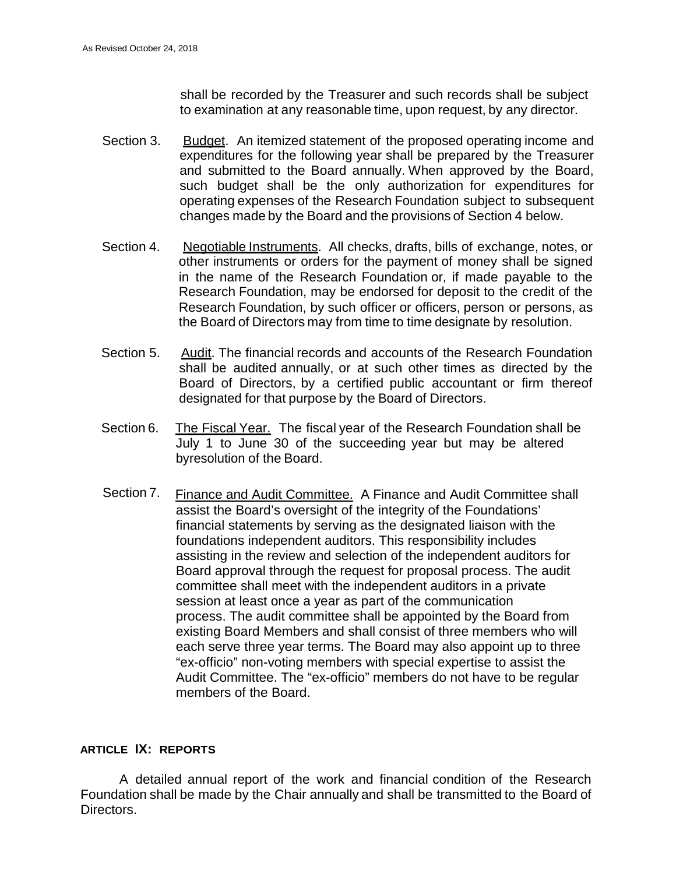shall be recorded by the Treasurer and such records shall be subject to examination at any reasonable time, upon request, by any director.

- Section 3. Budget. An itemized statement of the proposed operating income and expenditures for the following year shall be prepared by the Treasurer and submitted to the Board annually. When approved by the Board, such budget shall be the only authorization for expenditures for operating expenses of the Research Foundation subject to subsequent changes made by the Board and the provisions of Section 4 below.
- Section 4. Negotiable Instruments. All checks, drafts, bills of exchange, notes, or other instruments or orders for the payment of money shall be signed in the name of the Research Foundation or, if made payable to the Research Foundation, may be endorsed for deposit to the credit of the Research Foundation, by such officer or officers, person or persons, as the Board of Directors may from time to time designate by resolution.
- Section 5. Audit. The financial records and accounts of the Research Foundation shall be audited annually, or at such other times as directed by the Board of Directors, by a certified public accountant or firm thereof designated for that purpose by the Board of Directors.
- Section 6. The Fiscal Year. The fiscal year of the Research Foundation shall be July 1 to June 30 of the succeeding year but may be altered byresolution of the Board.
- Section 7. Finance and Audit Committee. A Finance and Audit Committee shall assist the Board's oversight of the integrity of the Foundations' financial statements by serving as the designated liaison with the foundations independent auditors. This responsibility includes assisting in the review and selection of the independent auditors for Board approval through the request for proposal process. The audit committee shall meet with the independent auditors in a private session at least once a year as part of the communication process. The audit committee shall be appointed by the Board from existing Board Members and shall consist of three members who will each serve three year terms. The Board may also appoint up to three "ex-officio" non-voting members with special expertise to assist the Audit Committee. The "ex-officio" members do not have to be regular members of the Board.

#### **ARTICLE IX: REPORTS**

A detailed annual report of the work and financial condition of the Research Foundation shall be made by the Chair annually and shall be transmitted to the Board of Directors.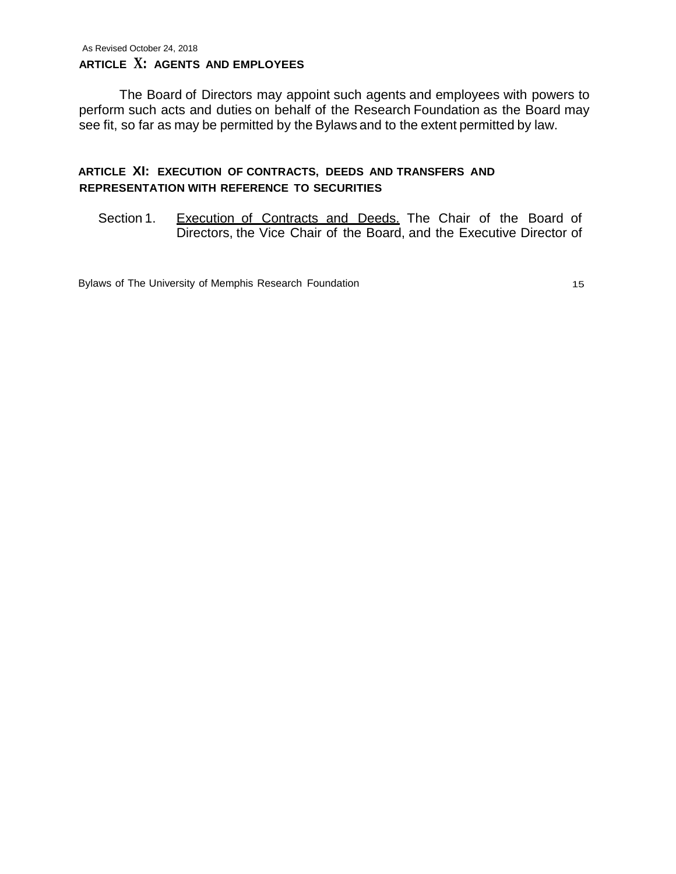The Board of Directors may appoint such agents and employees with powers to perform such acts and duties on behalf of the Research Foundation as the Board may see fit, so far as may be permitted by the Bylaws and to the extent permitted by law.

## **ARTICLE XI: EXECUTION OF CONTRACTS, DEEDS AND TRANSFERS AND REPRESENTATION WITH REFERENCE TO SECURITIES**

Section 1. Execution of Contracts and Deeds. The Chair of the Board of Directors, the Vice Chair of the Board, and the Executive Director of

Bylaws of The University of Memphis Research Foundation 15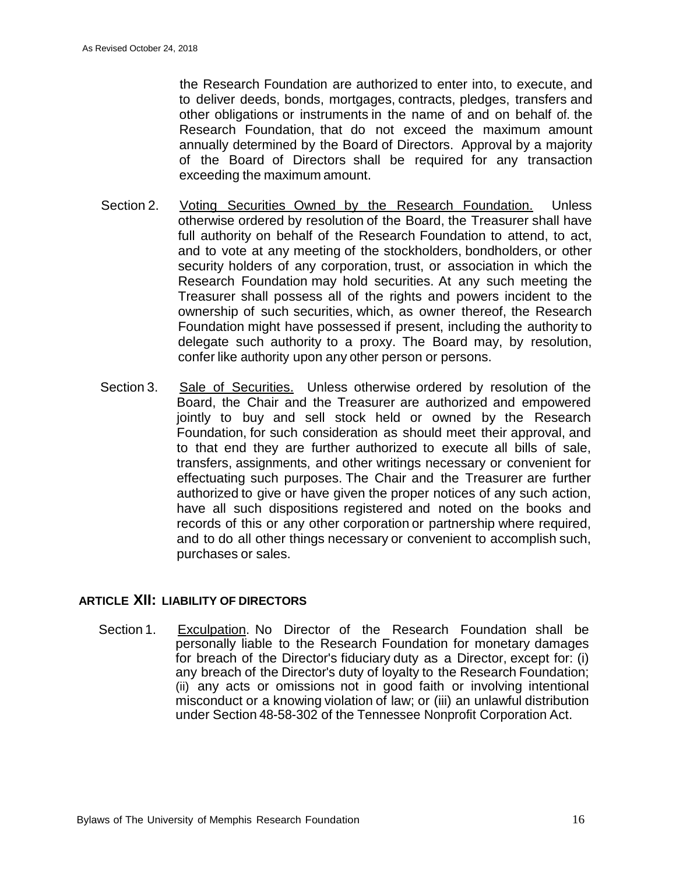the Research Foundation are authorized to enter into, to execute, and to deliver deeds, bonds, mortgages, contracts, pledges, transfers and other obligations or instruments in the name of and on behalf of. the Research Foundation, that do not exceed the maximum amount annually determined by the Board of Directors. Approval by a majority of the Board of Directors shall be required for any transaction exceeding the maximum amount.

- Section 2. Voting Securities Owned by the Research Foundation. Unless otherwise ordered by resolution of the Board, the Treasurer shall have full authority on behalf of the Research Foundation to attend, to act, and to vote at any meeting of the stockholders, bondholders, or other security holders of any corporation, trust, or association in which the Research Foundation may hold securities. At any such meeting the Treasurer shall possess all of the rights and powers incident to the ownership of such securities, which, as owner thereof, the Research Foundation might have possessed if present, including the authority to delegate such authority to a proxy. The Board may, by resolution, confer like authority upon any other person or persons.
- Section 3. Sale of Securities. Unless otherwise ordered by resolution of the Board, the Chair and the Treasurer are authorized and empowered jointly to buy and sell stock held or owned by the Research Foundation, for such consideration as should meet their approval, and to that end they are further authorized to execute all bills of sale, transfers, assignments, and other writings necessary or convenient for effectuating such purposes. The Chair and the Treasurer are further authorized to give or have given the proper notices of any such action, have all such dispositions registered and noted on the books and records of this or any other corporation or partnership where required, and to do all other things necessary or convenient to accomplish such, purchases or sales.

## **ARTICLE XII: LIABILITY OF DIRECTORS**

Section 1. Exculpation. No Director of the Research Foundation shall be personally liable to the Research Foundation for monetary damages for breach of the Director's fiduciary duty as a Director, except for: (i) any breach of the Director's duty of loyalty to the Research Foundation; (ii) any acts or omissions not in good faith or involving intentional misconduct or a knowing violation of law; or (iii) an unlawful distribution under Section 48-58-302 of the Tennessee Nonprofit Corporation Act.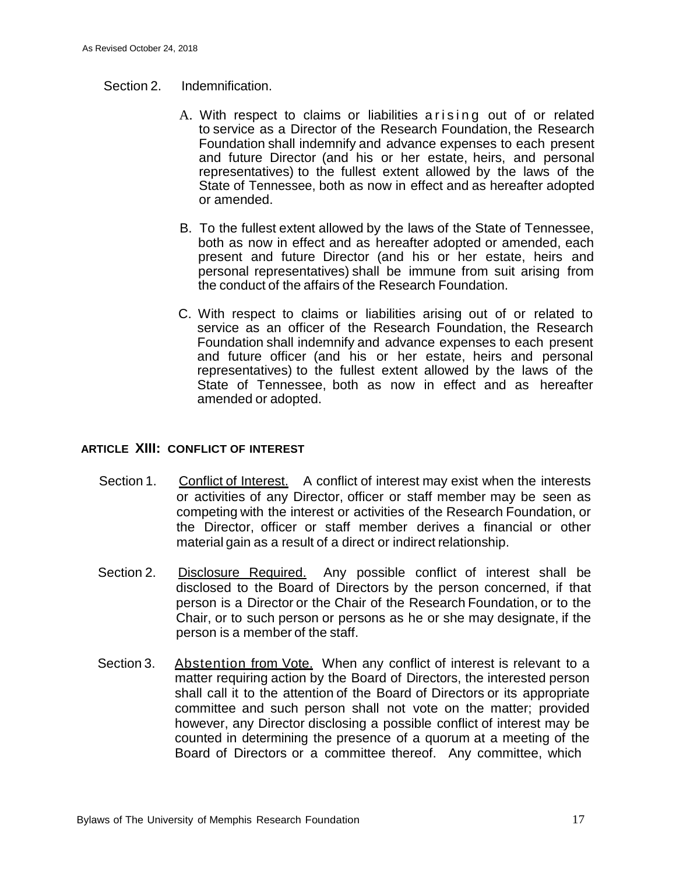#### Section 2. Indemnification.

- A. With respect to claims or liabilities arising out of or related to service as a Director of the Research Foundation, the Research Foundation shall indemnify and advance expenses to each present and future Director (and his or her estate, heirs, and personal representatives) to the fullest extent allowed by the laws of the State of Tennessee, both as now in effect and as hereafter adopted or amended.
- B. To the fullest extent allowed by the laws of the State of Tennessee, both as now in effect and as hereafter adopted or amended, each present and future Director (and his or her estate, heirs and personal representatives) shall be immune from suit arising from the conduct of the affairs of the Research Foundation.
- C. With respect to claims or liabilities arising out of or related to service as an officer of the Research Foundation, the Research Foundation shall indemnify and advance expenses to each present and future officer (and his or her estate, heirs and personal representatives) to the fullest extent allowed by the laws of the State of Tennessee, both as now in effect and as hereafter amended or adopted.

#### **ARTICLE XIII: CONFLICT OF INTEREST**

- Section 1. Conflict of Interest. A conflict of interest may exist when the interests or activities of any Director, officer or staff member may be seen as competing with the interest or activities of the Research Foundation, or the Director, officer or staff member derives a financial or other material gain as a result of a direct or indirect relationship.
- Section 2. Disclosure Required. Any possible conflict of interest shall be disclosed to the Board of Directors by the person concerned, if that person is a Director or the Chair of the Research Foundation, or to the Chair, or to such person or persons as he or she may designate, if the person is a member of the staff.
- Section 3. Abstention from Vote. When any conflict of interest is relevant to a matter requiring action by the Board of Directors, the interested person shall call it to the attention of the Board of Directors or its appropriate committee and such person shall not vote on the matter; provided however, any Director disclosing a possible conflict of interest may be counted in determining the presence of a quorum at a meeting of the Board of Directors or a committee thereof. Any committee, which